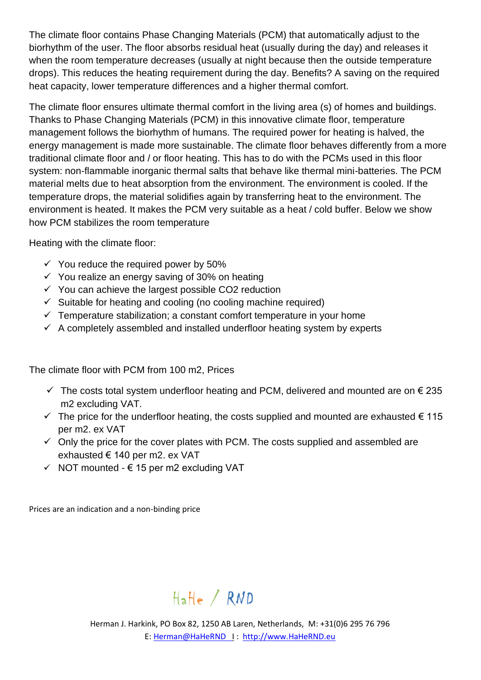The climate floor contains Phase Changing Materials (PCM) that automatically adjust to the biorhythm of the user. The floor absorbs residual heat (usually during the day) and releases it when the room temperature decreases (usually at night because then the outside temperature drops). This reduces the heating requirement during the day. Benefits? A saving on the required heat capacity, lower temperature differences and a higher thermal comfort.

The climate floor ensures ultimate thermal comfort in the living area (s) of homes and buildings. Thanks to Phase Changing Materials (PCM) in this innovative climate floor, temperature management follows the biorhythm of humans. The required power for heating is halved, the energy management is made more sustainable. The climate floor behaves differently from a more traditional climate floor and / or floor heating. This has to do with the PCMs used in this floor system: non-flammable inorganic thermal salts that behave like thermal mini-batteries. The PCM material melts due to heat absorption from the environment. The environment is cooled. If the temperature drops, the material solidifies again by transferring heat to the environment. The environment is heated. It makes the PCM very suitable as a heat / cold buffer. Below we show how PCM stabilizes the room temperature

Heating with the climate floor:

- $\checkmark$  You reduce the required power by 50%
- $\checkmark$  You realize an energy saving of 30% on heating
- $\checkmark$  You can achieve the largest possible CO2 reduction
- $\checkmark$  Suitable for heating and cooling (no cooling machine required)
- $\checkmark$  Temperature stabilization; a constant comfort temperature in your home
- $\checkmark$  A completely assembled and installed underfloor heating system by experts

The climate floor with PCM from 100 m2, Prices

- $\checkmark$  The costs total system underfloor heating and PCM, delivered and mounted are on  $\epsilon$  235 m2 excluding VAT.
- $\checkmark$  The price for the underfloor heating, the costs supplied and mounted are exhausted  $\in$  115 per m2. ex VAT
- $\checkmark$  Only the price for the cover plates with PCM. The costs supplied and assembled are exhausted € 140 per m2. ex VAT
- $\checkmark$  NOT mounted  $\epsilon$  15 per m2 excluding VAT

Prices are an indication and a non-binding price

## Hatle / RND